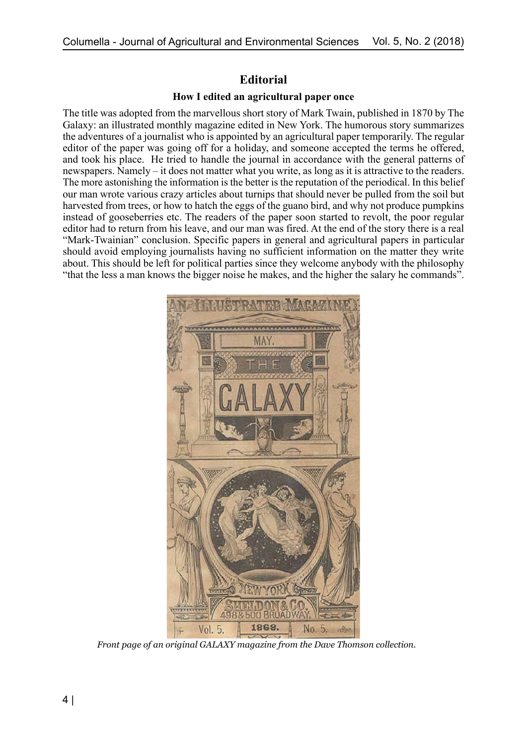## **Editorial**

## **How I edited an agricultural paper once**

The title was adopted from the marvellous short story of Mark Twain, published in 1870 by The Galaxy: an illustrated monthly magazine edited in New York. The humorous story summarizes the adventures of a journalist who is appointed by an agricultural paper temporarily. The regular editor of the paper was going off for a holiday, and someone accepted the terms he offered, and took his place. He tried to handle the journal in accordance with the general patterns of newspapers. Namely – it does not matter what you write, as long as it is attractive to the readers. The more astonishing the information is the better is the reputation of the periodical. In this belief our man wrote various crazy articles about turnips that should never be pulled from the soil but harvested from trees, or how to hatch the eggs of the guano bird, and why not produce pumpkins instead of gooseberries etc. The readers of the paper soon started to revolt, the poor regular editor had to return from his leave, and our man was fired. At the end of the story there is a real "Mark-Twainian" conclusion. Specific papers in general and agricultural papers in particular should avoid employing journalists having no sufficient information on the matter they write about. This should be left for political parties since they welcome anybody with the philosophy "that the less a man knows the bigger noise he makes, and the higher the salary he commands".



*Front page of an original GALAXY magazine from the Dave Thomson collection.*